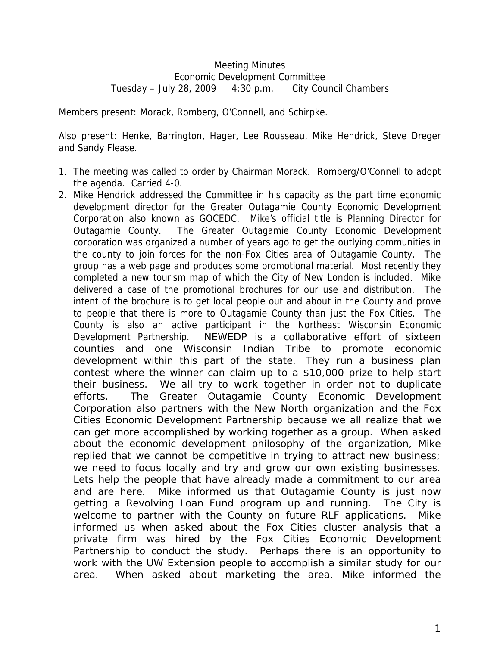## Meeting Minutes Economic Development Committee Tuesday – July 28, 2009 4:30 p.m. City Council Chambers

Members present: Morack, Romberg, O'Connell, and Schirpke.

Also present: Henke, Barrington, Hager, Lee Rousseau, Mike Hendrick, Steve Dreger and Sandy Flease.

- 1. The meeting was called to order by Chairman Morack. Romberg/O'Connell to adopt the agenda. Carried 4-0.
- 2. Mike Hendrick addressed the Committee in his capacity as the part time economic development director for the Greater Outagamie County Economic Development Corporation also known as GOCEDC. Mike's official title is Planning Director for Outagamie County. The Greater Outagamie County Economic Development corporation was organized a number of years ago to get the outlying communities in the county to join forces for the non-Fox Cities area of Outagamie County. The group has a web page and produces some promotional material. Most recently they completed a new tourism map of which the City of New London is included. Mike delivered a case of the promotional brochures for our use and distribution. The intent of the brochure is to get local people out and about in the County and prove to people that there is more to Outagamie County than just the Fox Cities. The County is also an active participant in the Northeast Wisconsin Economic Development Partnership. NEWEDP is a collaborative effort of sixteen counties and one Wisconsin Indian Tribe to promote economic development within this part of the state. They run a business plan contest where the winner can claim up to a \$10,000 prize to help start their business. We all try to work together in order not to duplicate efforts. The Greater Outagamie County Economic Development Corporation also partners with the New North organization and the Fox Cities Economic Development Partnership because we all realize that we can get more accomplished by working together as a group. When asked about the economic development philosophy of the organization, Mike replied that we cannot be competitive in trying to attract new business; we need to focus locally and try and grow our own existing businesses. Lets help the people that have already made a commitment to our area and are here. Mike informed us that Outagamie County is just now getting a Revolving Loan Fund program up and running. The City is welcome to partner with the County on future RLF applications. Mike informed us when asked about the Fox Cities cluster analysis that a private firm was hired by the Fox Cities Economic Development Partnership to conduct the study. Perhaps there is an opportunity to work with the UW Extension people to accomplish a similar study for our area. When asked about marketing the area, Mike informed the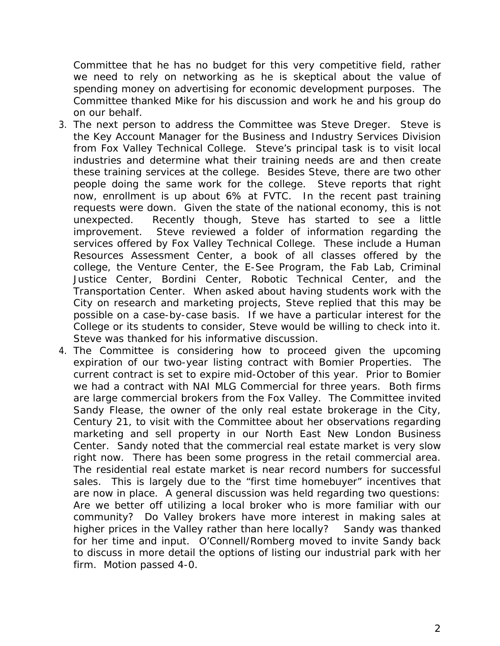Committee that he has no budget for this very competitive field, rather we need to rely on networking as he is skeptical about the value of spending money on advertising for economic development purposes. The Committee thanked Mike for his discussion and work he and his group do on our behalf.

- 3. The next person to address the Committee was Steve Dreger. Steve is the Key Account Manager for the Business and Industry Services Division from Fox Valley Technical College. Steve's principal task is to visit local industries and determine what their training needs are and then create these training services at the college. Besides Steve, there are two other people doing the same work for the college. Steve reports that right now, enrollment is up about 6% at FVTC. In the recent past training requests were down. Given the state of the national economy, this is not unexpected. Recently though, Steve has started to see a little improvement. Steve reviewed a folder of information regarding the services offered by Fox Valley Technical College. These include a Human Resources Assessment Center, a book of all classes offered by the college, the Venture Center, the E-See Program, the Fab Lab, Criminal Justice Center, Bordini Center, Robotic Technical Center, and the Transportation Center. When asked about having students work with the City on research and marketing projects, Steve replied that this may be possible on a case-by-case basis. If we have a particular interest for the College or its students to consider, Steve would be willing to check into it. Steve was thanked for his informative discussion.
- 4. The Committee is considering how to proceed given the upcoming expiration of our two-year listing contract with Bomier Properties. The current contract is set to expire mid-October of this year. Prior to Bomier we had a contract with NAI MLG Commercial for three years. Both firms are large commercial brokers from the Fox Valley. The Committee invited Sandy Flease, the owner of the only real estate brokerage in the City, Century 21, to visit with the Committee about her observations regarding marketing and sell property in our North East New London Business Center. Sandy noted that the commercial real estate market is very slow right now. There has been some progress in the retail commercial area. The residential real estate market is near record numbers for successful sales. This is largely due to the "first time homebuyer" incentives that are now in place. A general discussion was held regarding two questions: Are we better off utilizing a local broker who is more familiar with our community? Do Valley brokers have more interest in making sales at higher prices in the Valley rather than here locally? Sandy was thanked for her time and input. O'Connell/Romberg moved to invite Sandy back to discuss in more detail the options of listing our industrial park with her firm. Motion passed 4-0.